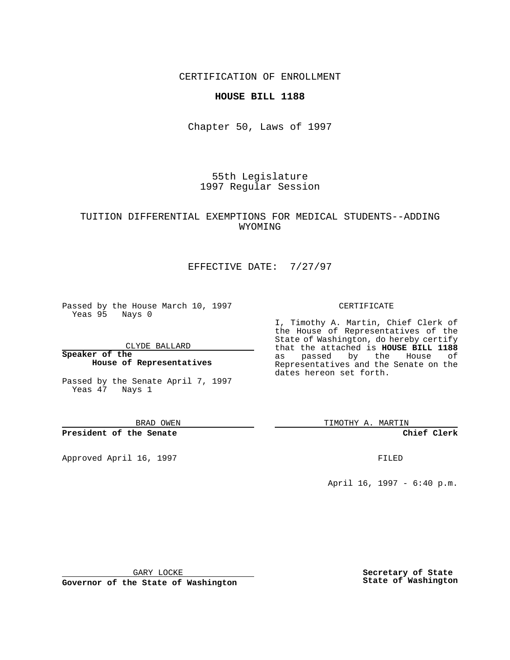CERTIFICATION OF ENROLLMENT

### **HOUSE BILL 1188**

Chapter 50, Laws of 1997

55th Legislature 1997 Regular Session

# TUITION DIFFERENTIAL EXEMPTIONS FOR MEDICAL STUDENTS--ADDING WYOMING

# EFFECTIVE DATE: 7/27/97

Passed by the House March 10, 1997 Yeas 95 Nays 0

CLYDE BALLARD

**Speaker of the House of Representatives**

Passed by the Senate April 7, 1997 Yeas 47 Nays 1

BRAD OWEN

**President of the Senate**

Approved April 16, 1997 **FILED** 

#### CERTIFICATE

I, Timothy A. Martin, Chief Clerk of the House of Representatives of the State of Washington, do hereby certify that the attached is **HOUSE BILL 1188** as passed by the House of Representatives and the Senate on the dates hereon set forth.

TIMOTHY A. MARTIN

**Chief Clerk**

April 16, 1997 - 6:40 p.m.

GARY LOCKE

**Governor of the State of Washington**

**Secretary of State State of Washington**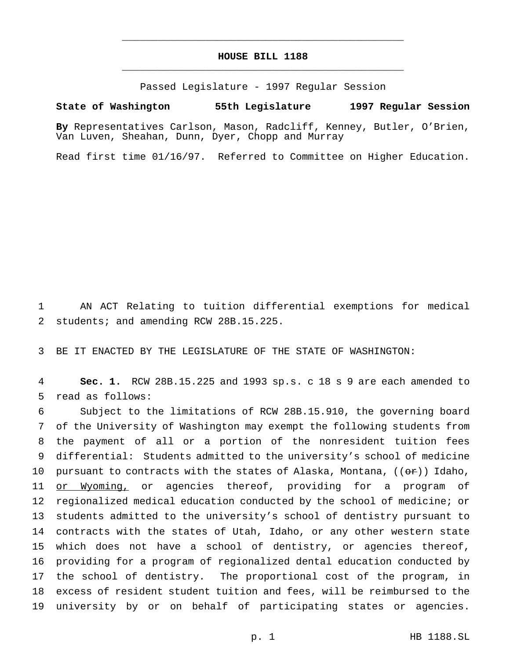# **HOUSE BILL 1188** \_\_\_\_\_\_\_\_\_\_\_\_\_\_\_\_\_\_\_\_\_\_\_\_\_\_\_\_\_\_\_\_\_\_\_\_\_\_\_\_\_\_\_\_\_\_\_

\_\_\_\_\_\_\_\_\_\_\_\_\_\_\_\_\_\_\_\_\_\_\_\_\_\_\_\_\_\_\_\_\_\_\_\_\_\_\_\_\_\_\_\_\_\_\_

Passed Legislature - 1997 Regular Session

#### **State of Washington 55th Legislature 1997 Regular Session**

**By** Representatives Carlson, Mason, Radcliff, Kenney, Butler, O'Brien, Van Luven, Sheahan, Dunn, Dyer, Chopp and Murray

Read first time 01/16/97. Referred to Committee on Higher Education.

 AN ACT Relating to tuition differential exemptions for medical students; and amending RCW 28B.15.225.

BE IT ENACTED BY THE LEGISLATURE OF THE STATE OF WASHINGTON:

 **Sec. 1.** RCW 28B.15.225 and 1993 sp.s. c 18 s 9 are each amended to read as follows:

 Subject to the limitations of RCW 28B.15.910, the governing board of the University of Washington may exempt the following students from the payment of all or a portion of the nonresident tuition fees differential: Students admitted to the university's school of medicine 10 pursuant to contracts with the states of Alaska, Montana,  $((e^*)$  Idaho, or Wyoming, or agencies thereof, providing for a program of regionalized medical education conducted by the school of medicine; or students admitted to the university's school of dentistry pursuant to contracts with the states of Utah, Idaho, or any other western state which does not have a school of dentistry, or agencies thereof, providing for a program of regionalized dental education conducted by the school of dentistry. The proportional cost of the program, in excess of resident student tuition and fees, will be reimbursed to the university by or on behalf of participating states or agencies.